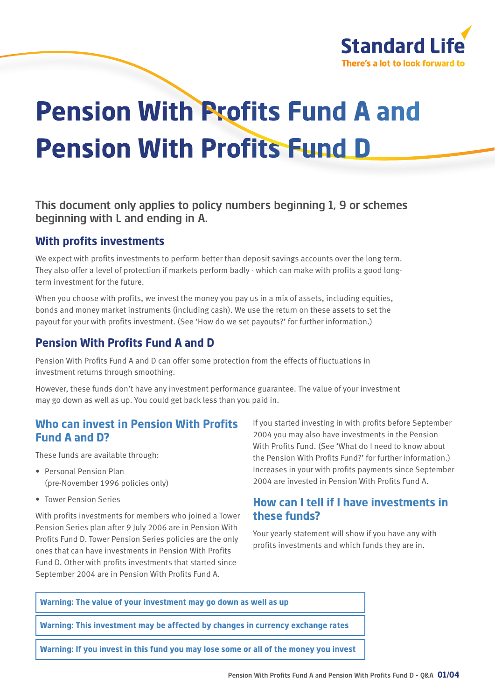

# **Pension With Profits Fund A and Pension With Profits Fund D**

This document only applies to policy numbers beginning 1, 9 or schemes beginning with L and ending in A.

#### **With profits investments**

We expect with profits investments to perform better than deposit savings accounts over the long term. They also offer a level of protection if markets perform badly - which can make with profits a good longterm investment for the future.

When you choose with profits, we invest the money you pay us in a mix of assets, including equities, bonds and money market instruments (including cash). We use the return on these assets to set the payout for your with profits investment. (See 'How do we set payouts?' for further information.)

# **Pension With Profits Fund A and D**

Pension With Profits Fund A and D can offer some protection from the effects of fluctuations in investment returns through smoothing.

However, these funds don't have any investment performance guarantee. The value of your investment may go down as well as up. You could get back less than you paid in.

# **Who can invest in Pension With Profits Fund A and D?**

These funds are available through:

- Personal Pension Plan (pre-November 1996 policies only)
- Tower Pension Series

With profits investments for members who joined a Tower Pension Series plan after 9 July 2006 are in Pension With Profits Fund D. Tower Pension Series policies are the only ones that can have investments in Pension With Profits Fund D. Other with profits investments that started since September 2004 are in Pension With Profits Fund A.

If you started investing in with profits before September 2004 you may also have investments in the Pension With Profits Fund. (See 'What do I need to know about the Pension With Profits Fund?' for further information.) Increases in your with profits payments since September 2004 are invested in Pension With Profits Fund A.

# **How can I tell if I have investments in these funds?**

Your yearly statement will show if you have any with profits investments and which funds they are in.

#### **Warning: The value of your investment may go down as well as up**

**Warning: This investment may be affected by changes in currency exchange rates**

**Warning: If you invest in this fund you may lose some or all of the money you invest**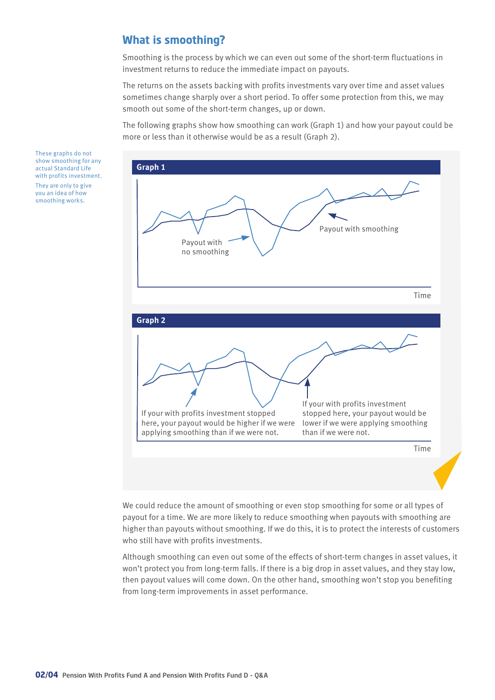# **What is smoothing?**

Smoothing is the process by which we can even out some of the short-term fluctuations in investment returns to reduce the immediate impact on payouts.

The returns on the assets backing with profits investments vary over time and asset values sometimes change sharply over a short period. To offer some protection from this, we may smooth out some of the short-term changes, up or down.

The following graphs show how smoothing can work (Graph 1) and how your payout could be more or less than it otherwise would be as a result (Graph 2).



We could reduce the amount of smoothing or even stop smoothing for some or all types of payout for a time. We are more likely to reduce smoothing when payouts with smoothing are higher than payouts without smoothing. If we do this, it is to protect the interests of customers who still have with profits investments.

Although smoothing can even out some of the effects of short-term changes in asset values, it won't protect you from long-term falls. If there is a big drop in asset values, and they stay low, then payout values will come down. On the other hand, smoothing won't stop you benefiting from long-term improvements in asset performance.

These graphs do not show smoothing for any actual Standard Life with profits investment. They are only to give you an idea of how smoothing works.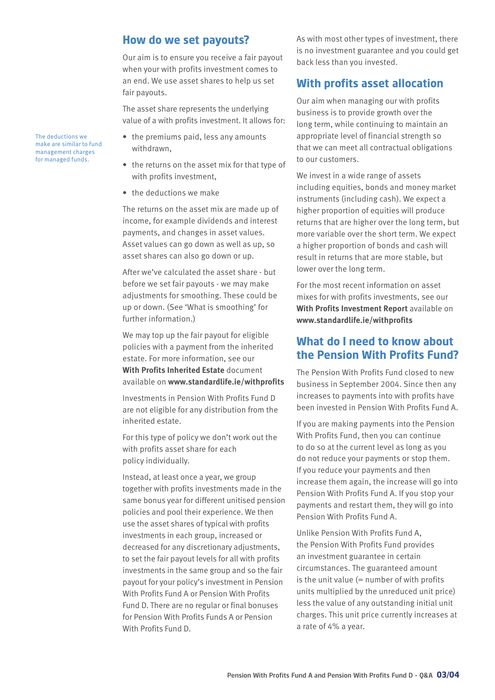#### **How do we set payouts?**

Our aim is to ensure you receive a fair payout when your with profits investment comes to an end. We use asset shares to help us set fair payouts.

The asset share represents the underlying value of a with profits investment. It allows for:

- the premiums paid, less any amounts withdrawn,
- the returns on the asset mix for that type of with profits investment,
- the deductions we make

The returns on the asset mix are made up of income, for example dividends and interest payments, and changes in asset values. Asset values can go down as well as up, so asset shares can also go down or up.

After we've calculated the asset share - but before we set fair payouts - we may make adjustments for smoothing. These could be up or down. (See 'What is smoothing' for further information.)

We may top up the fair payout for eligible policies with a payment from the inherited estate. For more information, see our **With Profits Inherited Estate** document available on **www.standardlife.ie/withprofits**

Investments in Pension With Profits Fund D are not eligible for any distribution from the inherited estate.

For this type of policy we don't work out the with profits asset share for each policy individually.

Instead, at least once a year, we group together with profits investments made in the same bonus year for different unitised pension policies and pool their experience. We then use the asset shares of typical with profits investments in each group, increased or decreased for any discretionary adjustments, to set the fair payout levels for all with profits investments in the same group and so the fair payout for your policy's investment in Pension With Profits Fund A or Pension With Profits Fund D. There are no regular or final bonuses for Pension With Profits Funds A or Pension With Profits Fund D.

As with most other types of investment, there is no investment guarantee and you could get back less than you invested.

# **With profits asset allocation**

Our aim when managing our with profits business is to provide growth over the long term, while continuing to maintain an appropriate level of financial strength so that we can meet all contractual obligations to our customers.

We invest in a wide range of assets including equities, bonds and money market instruments (including cash). We expect a higher proportion of equities will produce returns that are higher over the long term, but more variable over the short term. We expect a higher proportion of bonds and cash will result in returns that are more stable, but lower over the long term.

For the most recent information on asset mixes for with profits investments, see our **With Profits Investment Report** available on **www.standardlife.ie/withprofits**

#### **What do I need to know about the Pension With Profits Fund?**

The Pension With Profits Fund closed to new business in September 2004. Since then any increases to payments into with profits have been invested in Pension With Profits Fund A.

If you are making payments into the Pension With Profits Fund, then you can continue to do so at the current level as long as you do not reduce your payments or stop them. If you reduce your payments and then increase them again, the increase will go into Pension With Profits Fund A. If you stop your payments and restart them, they will go into Pension With Profits Fund A.

Unlike Pension With Profits Fund A, the Pension With Profits Fund provides an investment guarantee in certain circumstances. The guaranteed amount is the unit value  $(=$  number of with profits units multiplied by the unreduced unit price) less the value of any outstanding initial unit charges. This unit price currently increases at a rate of 4% a year.

The deductions we make are similar to fund management charges for managed funds.